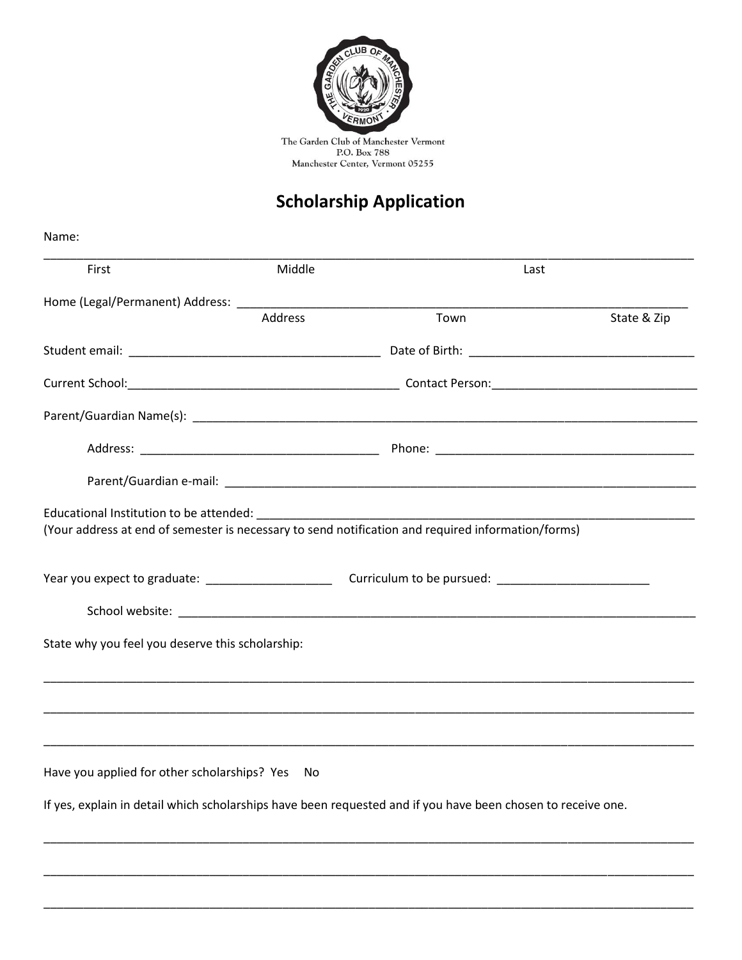

The Garden Club of Manchester Vermont<br>P.O. Box 788<br>Manchester Center, Vermont 05255

## **Scholarship Application**

| Name:                                            |         |                                                                                                              |             |  |
|--------------------------------------------------|---------|--------------------------------------------------------------------------------------------------------------|-------------|--|
| First                                            | Middle  |                                                                                                              | Last        |  |
|                                                  |         |                                                                                                              |             |  |
|                                                  | Address | Town                                                                                                         | State & Zip |  |
|                                                  |         |                                                                                                              |             |  |
|                                                  |         |                                                                                                              |             |  |
|                                                  |         |                                                                                                              |             |  |
|                                                  |         |                                                                                                              |             |  |
|                                                  |         |                                                                                                              |             |  |
|                                                  |         |                                                                                                              |             |  |
|                                                  |         | (Your address at end of semester is necessary to send notification and required information/forms)           |             |  |
|                                                  |         |                                                                                                              |             |  |
|                                                  |         |                                                                                                              |             |  |
|                                                  |         |                                                                                                              |             |  |
| State why you feel you deserve this scholarship: |         |                                                                                                              |             |  |
|                                                  |         |                                                                                                              |             |  |
|                                                  |         |                                                                                                              |             |  |
|                                                  |         |                                                                                                              |             |  |
| Have you applied for other scholarships? Yes No  |         |                                                                                                              |             |  |
|                                                  |         | If yes, explain in detail which scholarships have been requested and if you have been chosen to receive one. |             |  |
|                                                  |         |                                                                                                              |             |  |